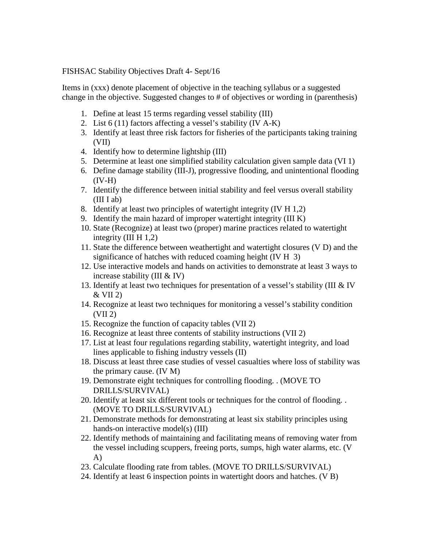FISHSAC Stability Objectives Draft 4- Sept/16

Items in (xxx) denote placement of objective in the teaching syllabus or a suggested change in the objective. Suggested changes to # of objectives or wording in (parenthesis)

- 1. Define at least 15 terms regarding vessel stability (III)
- 2. List 6 (11) factors affecting a vessel's stability (IV A-K)
- 3. Identify at least three risk factors for fisheries of the participants taking training (VII)
- 4. Identify how to determine lightship (III)
- 5. Determine at least one simplified stability calculation given sample data (VI 1)
- 6. Define damage stability (III-J), progressive flooding, and unintentional flooding  $(IV-H)$
- 7. Identify the difference between initial stability and feel versus overall stability  $(III I ab)$
- 8. Identify at least two principles of watertight integrity (IV H 1,2)
- 9. Identify the main hazard of improper watertight integrity (III K)
- 10. State (Recognize) at least two (proper) marine practices related to watertight integrity (III H 1,2)
- 11. State the difference between weathertight and watertight closures (V D) and the significance of hatches with reduced coaming height (IV H 3)
- 12. Use interactive models and hands on activities to demonstrate at least 3 ways to increase stability (III & IV)
- 13. Identify at least two techniques for presentation of a vessel's stability (III & IV  $&$  VII 2)
- 14. Recognize at least two techniques for monitoring a vessel's stability condition (VII 2)
- 15. Recognize the function of capacity tables (VII 2)
- 16. Recognize at least three contents of stability instructions (VII 2)
- 17. List at least four regulations regarding stability, watertight integrity, and load lines applicable to fishing industry vessels (II)
- 18. Discuss at least three case studies of vessel casualties where loss of stability was the primary cause. (IV M)
- 19. Demonstrate eight techniques for controlling flooding. . (MOVE TO DRILLS/SURVIVAL)
- 20. Identify at least six different tools or techniques for the control of flooding. . (MOVE TO DRILLS/SURVIVAL)
- 21. Demonstrate methods for demonstrating at least six stability principles using hands-on interactive model(s) (III)
- 22. Identify methods of maintaining and facilitating means of removing water from the vessel including scuppers, freeing ports, sumps, high water alarms, etc. (V A)
- 23. Calculate flooding rate from tables. (MOVE TO DRILLS/SURVIVAL)
- 24. Identify at least 6 inspection points in watertight doors and hatches. (V B)